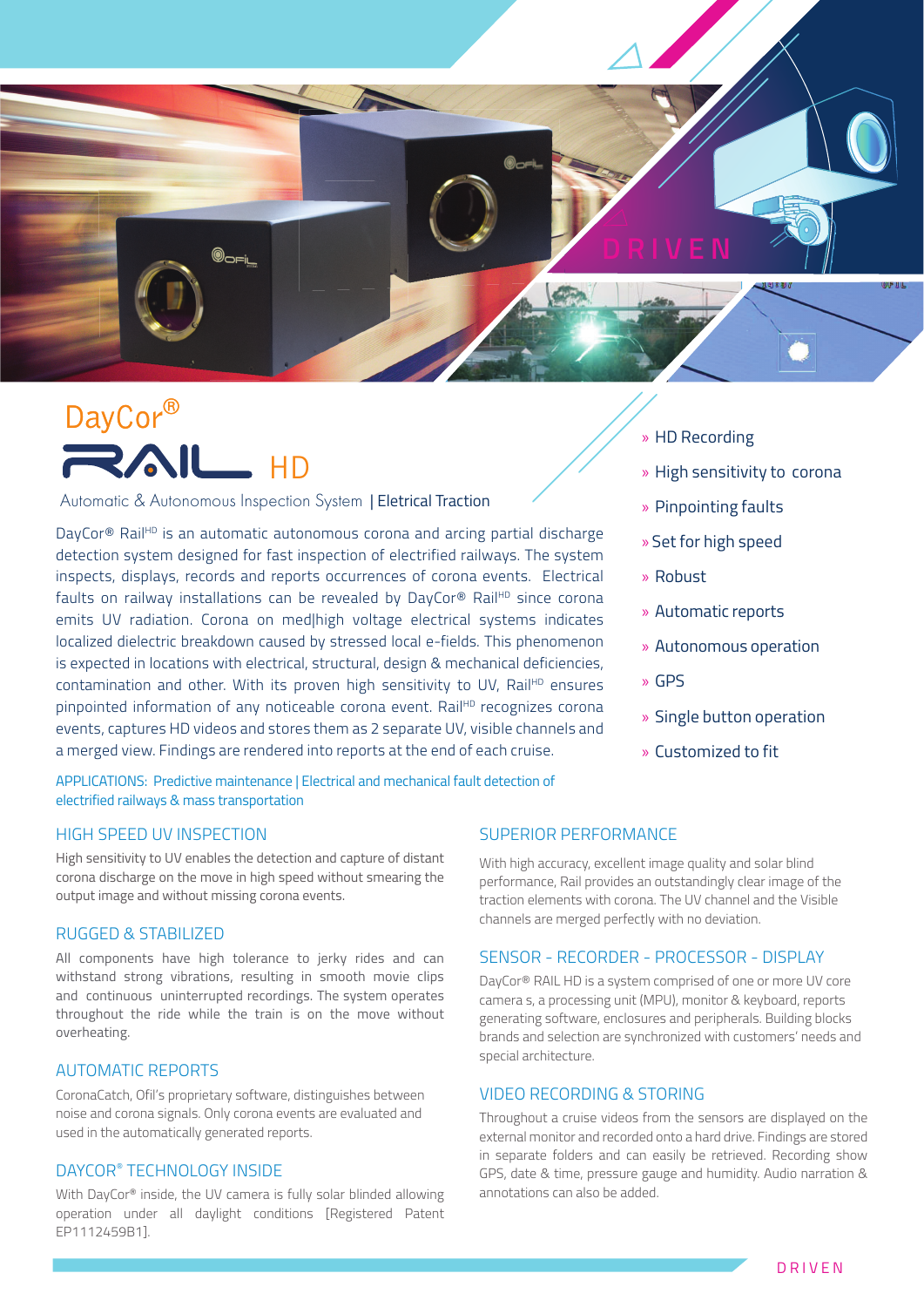

# DayCor® **RAIL HD**

Automatic & Autonomous Inspection System | Eletrical Traction

DayCor® Rail<sup>HD</sup> is an automatic autonomous corona and arcing partial discharge detection system designed for fast inspection of electrified railways. The system inspects, displays, records and reports occurrences of corona events. Electrical faults on railway installations can be revealed by DayCor® Rail<sup>HD</sup> since corona emits UV radiation. Corona on med|high voltage electrical systems indicates localized dielectric breakdown caused by stressed local e-fields. This phenomenon is expected in locations with electrical, structural, design & mechanical deficiencies, contamination and other. With its proven high sensitivity to UV, Rail $H_D$  ensures pinpointed information of any noticeable corona event. Rail<sup>HD</sup> recognizes corona events, captures HD videos and stores them as 2 separate UV, visible channels and a merged view. Findings are rendered into reports at the end of each cruise.

APPLICATIONS: Predictive maintenance | Electrical and mechanical fault detection of electrified railways & mass transportation

#### HIGH SPEED UV INSPECTION

High sensitivity to UV enables the detection and capture of distant corona discharge on the move in high speed without smearing the output image and without missing corona events.

#### RUGGED & STABILIZED

All components have high tolerance to jerky rides and can withstand strong vibrations, resulting in smooth movie clips and continuous uninterrupted recordings. The system operates throughout the ride while the train is on the move without overheating.

#### AUTOMATIC REPORTS

CoronaCatch, Ofil's proprietary software, distinguishes between noise and corona signals. Only corona events are evaluated and used in the automatically generated reports.

#### DAYCOR® TECHNOLOGY INSIDE

With DayCor® inside, the UV camera is fully solar blinded allowing operation under all daylight conditions [Registered Patent EP1112459B1].

- » HD Recording
- » High sensitivity to corona
- » Pinpointing faults
- » Set for high speed
- » Robust
- » Automatic reports
- » Autonomous operation
- » GPS
- » Single button operation
- » Customized to fit

#### SUPERIOR PERFORMANCE

With high accuracy, excellent image quality and solar blind performance, Rail provides an outstandingly clear image of the traction elements with corona. The UV channel and the Visible channels are merged perfectly with no deviation.

#### SENSOR - RECORDER - PROCESSOR - DISPLAY

DayCor® RAIL HD is a system comprised of one or more UV core camera s, a processing unit (MPU), monitor & keyboard, reports generating software, enclosures and peripherals. Building blocks brands and selection are synchronized with customers' needs and special architecture.

#### VIDEO RECORDING & STORING

Throughout a cruise videos from the sensors are displayed on the external monitor and recorded onto a hard drive. Findings are stored in separate folders and can easily be retrieved. Recording show GPS, date & time, pressure gauge and humidity. Audio narration & annotations can also be added.